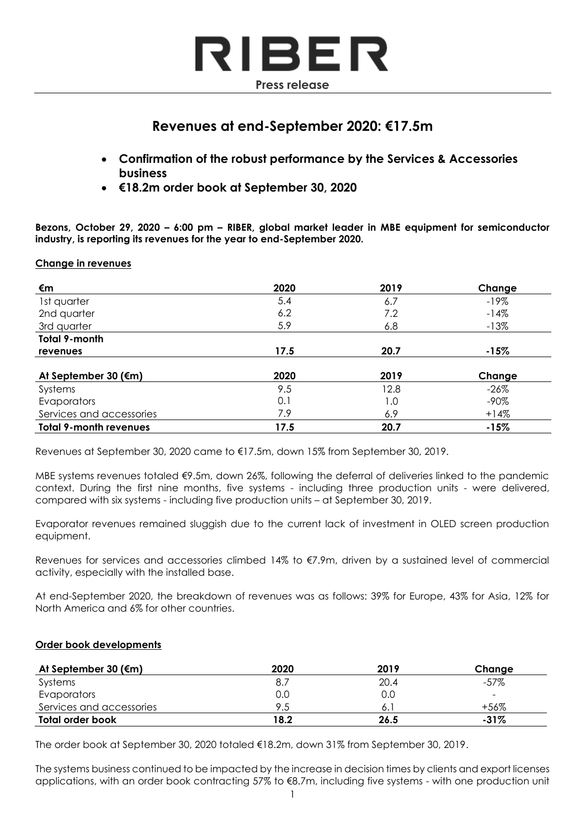

# **Revenues at end-September 2020: €17.5m**

- **Confirmation of the robust performance by the Services & Accessories business**
- **€18.2m order book at September 30, 2020**

**Bezons, October 29, 2020 – 6:00 pm – RIBER, global market leader in MBE equipment for semiconductor industry, is reporting its revenues for the year to end-September 2020.**

### **Change in revenues**

| €m                              | 2020 | 2019 | Change  |
|---------------------------------|------|------|---------|
| 1st quarter                     | 5.4  | 6.7  | $-19%$  |
| 2nd quarter                     | 6.2  | 7.2  | $-14%$  |
| 3rd quarter                     | 5.9  | 6.8  | $-13%$  |
| <b>Total 9-month</b>            |      |      |         |
| <b>revenues</b>                 | 17.5 | 20.7 | $-15%$  |
| At September 30 ( $\epsilon$ m) | 2020 | 2019 | Change  |
| Systems                         | 9.5  | 12.8 | $-26%$  |
| Evaporators                     | 0.1  | 1.0  | $-90\%$ |
| Services and accessories        | 7.9  | 6.9  | $+14%$  |
| <b>Total 9-month revenues</b>   | 17.5 | 20.7 | $-15%$  |

Revenues at September 30, 2020 came to €17.5m, down 15% from September 30, 2019.

MBE systems revenues totaled €9.5m, down 26%, following the deferral of deliveries linked to the pandemic context. During the first nine months, five systems - including three production units - were delivered, compared with six systems - including five production units – at September 30, 2019.

Evaporator revenues remained sluggish due to the current lack of investment in OLED screen production equipment.

Revenues for services and accessories climbed 14% to €7.9m, driven by a sustained level of commercial activity, especially with the installed base.

At end-September 2020, the breakdown of revenues was as follows: 39% for Europe, 43% for Asia, 12% for North America and 6% for other countries.

### **Order book developments**

| At September 30 ( $\epsilon$ m) | 2020 | 2019 | Change                   |
|---------------------------------|------|------|--------------------------|
| Systems                         |      | 20.4 | -57%                     |
| Evaporators                     | 0.0  |      | $\overline{\phantom{a}}$ |
| Services and accessories        | 9.5  |      | +56%                     |
| Total order book                | 18.2 | 26.5 | $-31\%$                  |

The order book at September 30, 2020 totaled €18.2m, down 31% from September 30, 2019.

The systems business continued to be impacted by the increase in decision times by clients and export licenses applications, with an order book contracting 57% to €8.7m, including five systems - with one production unit